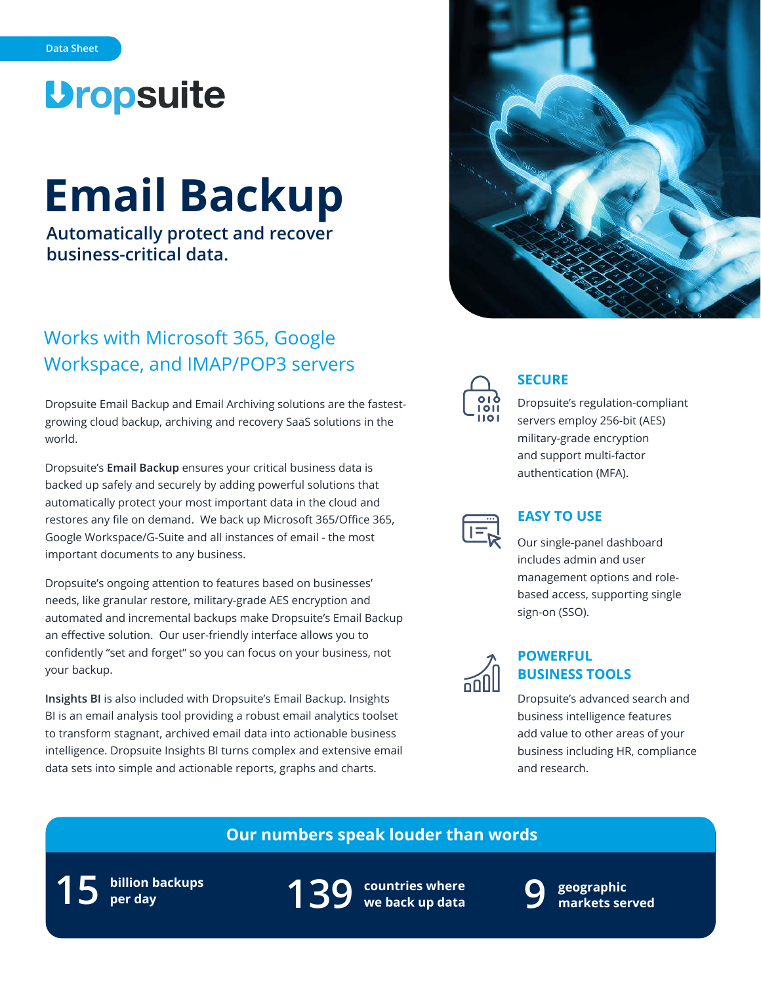# **Dropsuite**

# **Email Backup**

**Automatically protect and recover business-critical data.**

## Works with Microsoft 365, Google Workspace, and IMAP/POP3 servers

Dropsuite Email Backup and Email Archiving solutions are the fastestgrowing cloud backup, archiving and recovery SaaS solutions in the world.

Dropsuite's **Email Backup** ensures your critical business data is backed up safely and securely by adding powerful solutions that automatically protect your most important data in the cloud and restores any file on demand. We back up Microsoft 365/Office 365, Google Workspace/G-Suite and all instances of email - the most important documents to any business.

Dropsuite's ongoing attention to features based on businesses' needs, like granular restore, military-grade AES encryption and automated and incremental backups make Dropsuite's Email Backup an effective solution. Our user-friendly interface allows you to confidently "set and forget" so you can focus on your business, not your backup.

**Insights BI** is also included with Dropsuite's Email Backup. Insights BI is an email analysis tool providing a robust email analytics toolset to transform stagnant, archived email data into actionable business intelligence. Dropsuite Insights BI turns complex and extensive email data sets into simple and actionable reports, graphs and charts.





## **SECURE**

Dropsuite's regulation-compliant servers employ 256-bit (AES) military-grade encryption and support multi-factor authentication (MFA).



## **EASY TO USE**

Our single-panel dashboard includes admin and user management options and rolebased access, supporting single sign-on (SSO).



## **POWERFUL BUSINESS TOOLS**

Dropsuite's advanced search and business intelligence features add value to other areas of your business including HR, compliance and research.

## **Our numbers speak louder than words**

**billion backups 15 per day**

**countries where 139 we back up data**



**geographic 9 markets served**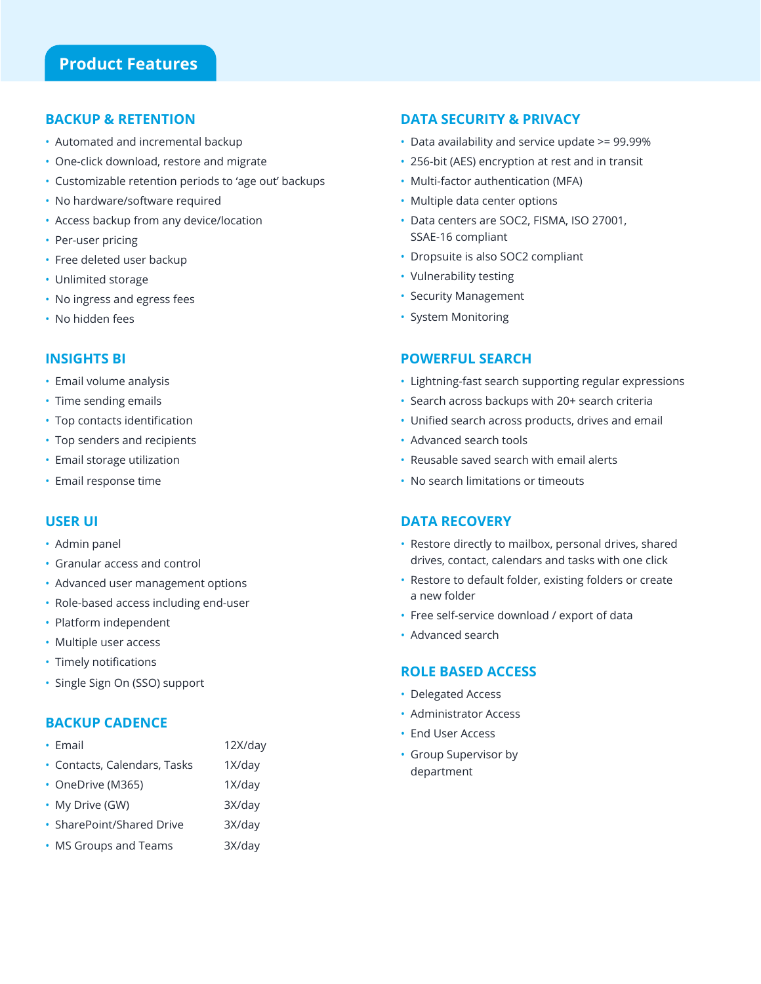## **BACKUP & RETENTION**

- Automated and incremental backup
- One-click download, restore and migrate
- Customizable retention periods to 'age out' backups
- No hardware/software required
- Access backup from any device/location
- Per-user pricing
- Free deleted user backup
- Unlimited storage
- No ingress and egress fees
- No hidden fees

## **INSIGHTS BI**

- Email volume analysis
- Time sending emails
- Top contacts identification
- Top senders and recipients
- Email storage utilization
- Email response time

## **USER UI**

- Admin panel
- Granular access and control
- Advanced user management options
- Role-based access including end-user
- Platform independent
- Multiple user access
- Timely notifications
- Single Sign On (SSO) support

## **BACKUP CADENCE**

- Email 12X/day
- Contacts, Calendars, Tasks 1X/day
- OneDrive (M365) 1X/day
- My Drive (GW) 3X/day
- SharePoint/Shared Drive 3X/day
- MS Groups and Teams 3X/day

## **DATA SECURITY & PRIVACY**

- Data availability and service update >= 99.99%
- 256-bit (AES) encryption at rest and in transit
- Multi-factor authentication (MFA)
- Multiple data center options
- Data centers are SOC2, FISMA, ISO 27001, SSAE-16 compliant
- Dropsuite is also SOC2 compliant
- Vulnerability testing
- Security Management
- System Monitoring

## **POWERFUL SEARCH**

- Lightning-fast search supporting regular expressions
- Search across backups with 20+ search criteria
- Unified search across products, drives and email
- Advanced search tools
- Reusable saved search with email alerts
- No search limitations or timeouts

## **DATA RECOVERY**

- Restore directly to mailbox, personal drives, shared drives, contact, calendars and tasks with one click
- Restore to default folder, existing folders or create a new folder
- Free self-service download / export of data
- Advanced search

## **ROLE BASED ACCESS**

- Delegated Access
- Administrator Access
- End User Access
- Group Supervisor by department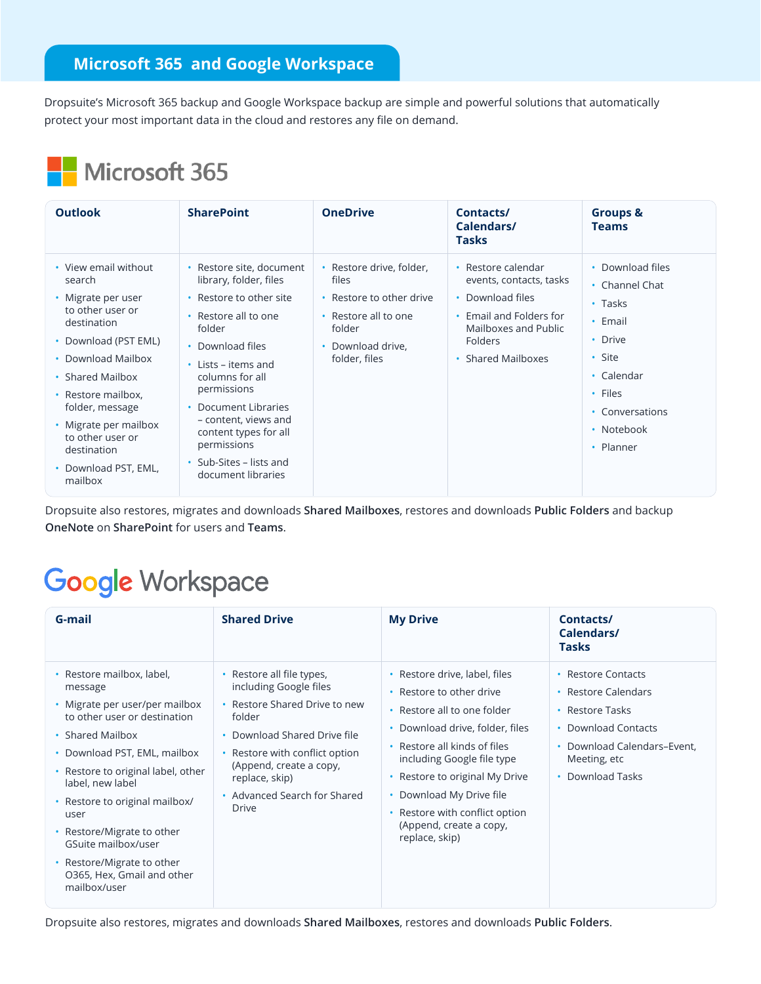## **Microsoft 365 and Google Workspace**

Dropsuite's Microsoft 365 backup and Google Workspace backup are simple and powerful solutions that automatically protect your most important data in the cloud and restores any file on demand.

## Microsoft 365

| <b>Outlook</b>                                                                                                                                                                                                                                                                                  | <b>SharePoint</b>                                                                                                                                                                                                                                                                                                                     | <b>OneDrive</b>                                                                                                                       | Contacts/<br>Calendars/<br><b>Tasks</b>                                                                                                             | <b>Groups &amp;</b><br><b>Teams</b>                                                                                                                        |
|-------------------------------------------------------------------------------------------------------------------------------------------------------------------------------------------------------------------------------------------------------------------------------------------------|---------------------------------------------------------------------------------------------------------------------------------------------------------------------------------------------------------------------------------------------------------------------------------------------------------------------------------------|---------------------------------------------------------------------------------------------------------------------------------------|-----------------------------------------------------------------------------------------------------------------------------------------------------|------------------------------------------------------------------------------------------------------------------------------------------------------------|
| • View email without<br>search<br>• Migrate per user<br>to other user or<br>destination<br>• Download (PST EML)<br>• Download Mailbox<br>• Shared Mailbox<br>• Restore mailbox,<br>folder, message<br>• Migrate per mailbox<br>to other user or<br>destination<br>Download PST, EML,<br>mailbox | • Restore site, document<br>library, folder, files<br>Restore to other site<br>Restore all to one<br>folder<br>• Download files<br>$\cdot$ Lists – items and<br>columns for all<br>permissions<br>Document Libraries<br>- content, views and<br>content types for all<br>permissions<br>• Sub-Sites – lists and<br>document libraries | • Restore drive, folder,<br>files<br>• Restore to other drive<br>• Restore all to one<br>folder<br>• Download drive,<br>folder, files | • Restore calendar<br>events, contacts, tasks<br>• Download files<br>Email and Folders for<br>Mailboxes and Public<br>Folders<br>• Shared Mailboxes | • Download files<br>• Channel Chat<br>$\cdot$ Tasks<br>• Email<br>• Drive<br>• Site<br>• Calendar<br>• Files<br>• Conversations<br>• Notebook<br>• Planner |

Dropsuite also restores, migrates and downloads **Shared Mailboxes**, restores and downloads **Public Folders** and backup **OneNote** on **SharePoint** for users and **Teams**.

## **Google Workspace**

| G-mail                                                                                                                                                                                                                                                                                                                                                                                          | <b>Shared Drive</b>                                                                                                                                                                                                                                           | <b>My Drive</b>                                                                                                                                                                                                                                                                                                                                               | Contacts/<br>Calendars/<br><b>Tasks</b>                                                                                                                |
|-------------------------------------------------------------------------------------------------------------------------------------------------------------------------------------------------------------------------------------------------------------------------------------------------------------------------------------------------------------------------------------------------|---------------------------------------------------------------------------------------------------------------------------------------------------------------------------------------------------------------------------------------------------------------|---------------------------------------------------------------------------------------------------------------------------------------------------------------------------------------------------------------------------------------------------------------------------------------------------------------------------------------------------------------|--------------------------------------------------------------------------------------------------------------------------------------------------------|
| • Restore mailbox, label,<br>message<br>• Migrate per user/per mailbox<br>to other user or destination<br>• Shared Mailbox<br>• Download PST, EML, mailbox<br>• Restore to original label, other<br>label, new label<br>• Restore to original mailbox/<br>user<br>• Restore/Migrate to other<br>GSuite mailbox/user<br>• Restore/Migrate to other<br>O365, Hex, Gmail and other<br>mailbox/user | • Restore all file types,<br>including Google files<br>• Restore Shared Drive to new<br>folder<br>• Download Shared Drive file<br>• Restore with conflict option<br>(Append, create a copy,<br>replace, skip)<br>• Advanced Search for Shared<br><b>Drive</b> | Restore drive, label, files<br>Restore to other drive<br>Restore all to one folder<br>$\bullet$<br>Download drive, folder, files<br>$\bullet$<br>Restore all kinds of files<br>$\bullet$<br>including Google file type<br>Restore to original My Drive<br>Download My Drive file<br>Restore with conflict option<br>(Append, create a copy,<br>replace, skip) | • Restore Contacts<br>• Restore Calendars<br>• Restore Tasks<br>• Download Contacts<br>• Download Calendars-Event.<br>Meeting, etc<br>• Download Tasks |

Dropsuite also restores, migrates and downloads **Shared Mailboxes**, restores and downloads **Public Folders**.